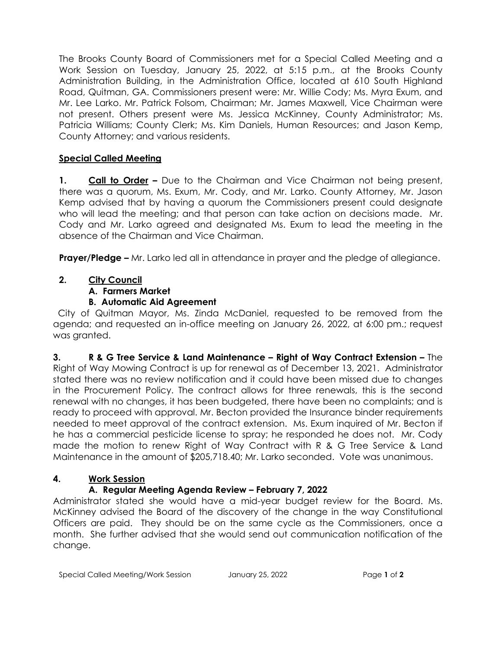The Brooks County Board of Commissioners met for a Special Called Meeting and a Work Session on Tuesday, January 25, 2022, at 5:15 p.m., at the Brooks County Administration Building, in the Administration Office, located at 610 South Highland Road, Quitman, GA. Commissioners present were: Mr. Willie Cody; Ms. Myra Exum, and Mr. Lee Larko. Mr. Patrick Folsom, Chairman; Mr. James Maxwell, Vice Chairman were not present. Others present were Ms. Jessica McKinney, County Administrator; Ms. Patricia Williams; County Clerk; Ms. Kim Daniels, Human Resources; and Jason Kemp, County Attorney; and various residents.

#### **Special Called Meeting**

**1. Call to Order –** Due to the Chairman and Vice Chairman not being present, there was a quorum, Ms. Exum, Mr. Cody, and Mr. Larko. County Attorney, Mr. Jason Kemp advised that by having a quorum the Commissioners present could designate who will lead the meeting; and that person can take action on decisions made. Mr. Cody and Mr. Larko agreed and designated Ms. Exum to lead the meeting in the absence of the Chairman and Vice Chairman.

**Prayer/Pledge –** Mr. Larko led all in attendance in prayer and the pledge of allegiance.

## **2. City Council**

# **A. Farmers Market**

## **B. Automatic Aid Agreement**

 City of Quitman Mayor, Ms. Zinda McDaniel, requested to be removed from the agenda; and requested an in-office meeting on January 26, 2022, at 6:00 pm.; request was granted.

**3. R & G Tree Service & Land Maintenance – Right of Way Contract Extension –** The Right of Way Mowing Contract is up for renewal as of December 13, 2021. Administrator stated there was no review notification and it could have been missed due to changes in the Procurement Policy. The contract allows for three renewals, this is the second renewal with no changes, it has been budgeted, there have been no complaints; and is ready to proceed with approval. Mr. Becton provided the Insurance binder requirements needed to meet approval of the contract extension. Ms. Exum inquired of Mr. Becton if he has a commercial pesticide license to spray; he responded he does not. Mr. Cody made the motion to renew Right of Way Contract with R & G Tree Service & Land Maintenance in the amount of \$205,718.40; Mr. Larko seconded. Vote was unanimous.

# **4. Work Session**

# **A. Regular Meeting Agenda Review – February 7, 2022**

Administrator stated she would have a mid-year budget review for the Board. Ms. McKinney advised the Board of the discovery of the change in the way Constitutional Officers are paid. They should be on the same cycle as the Commissioners, once a month. She further advised that she would send out communication notification of the change.